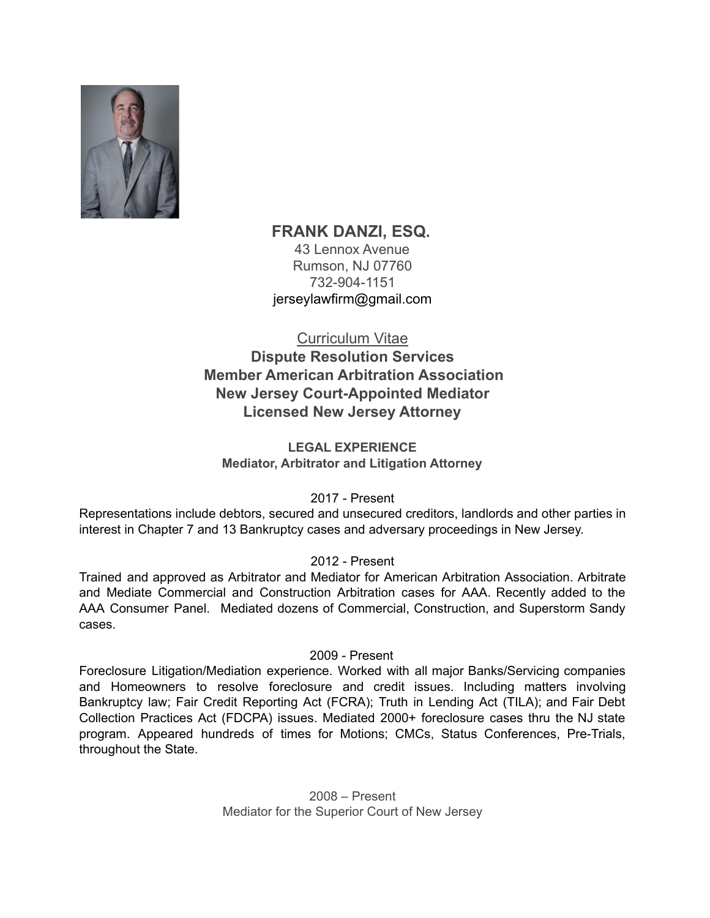

# **FRANK DANZI, ESQ.**

43 Lennox Avenue Rumson, NJ 07760 732-904-1151 [jerseylawfirm@gmail.com](mailto:jerseylawfirm@gmail.com)

Curriculum Vitae

**Dispute Resolution Services Member American Arbitration Association New Jersey Court-Appointed Mediator Licensed New Jersey Attorney**

**LEGAL EXPERIENCE Mediator, Arbitrator and Litigation Attorney**

2017 - Present

Representations include debtors, secured and unsecured creditors, landlords and other parties in interest in Chapter 7 and 13 Bankruptcy cases and adversary proceedings in New Jersey.

# 2012 - Present

Trained and approved as Arbitrator and Mediator for American Arbitration Association. Arbitrate and Mediate Commercial and Construction Arbitration cases for AAA. Recently added to the AAA Consumer Panel. Mediated dozens of Commercial, Construction, and Superstorm Sandy cases.

# 2009 - Present

Foreclosure Litigation/Mediation experience. Worked with all major Banks/Servicing companies and Homeowners to resolve foreclosure and credit issues. Including matters involving Bankruptcy law; Fair Credit Reporting Act (FCRA); Truth in Lending Act (TILA); and Fair Debt Collection Practices Act (FDCPA) issues. Mediated 2000+ foreclosure cases thru the NJ state program. Appeared hundreds of times for Motions; CMCs, Status Conferences, Pre-Trials, throughout the State.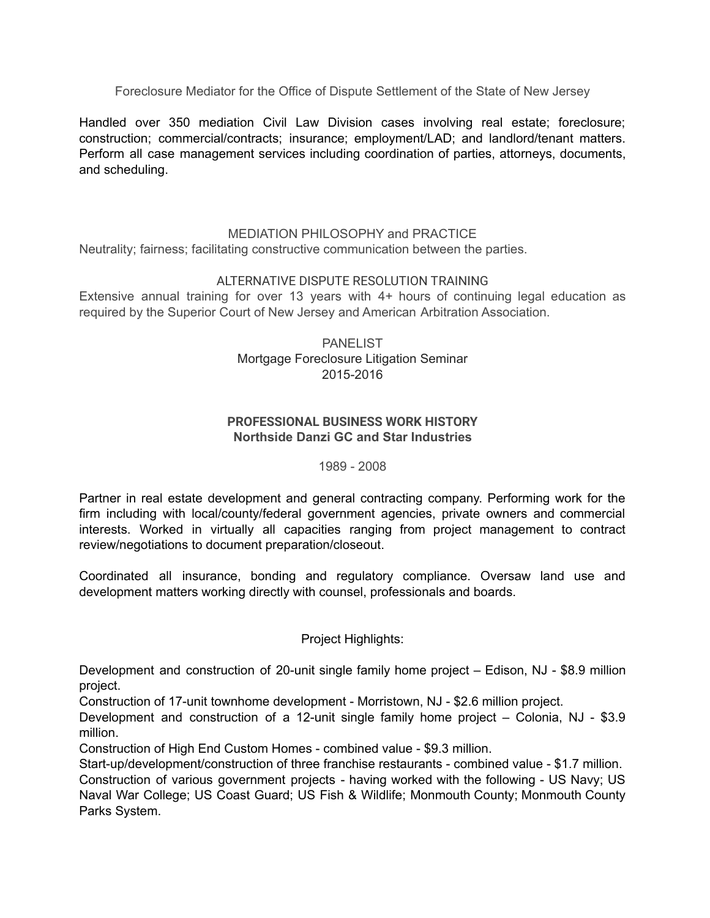Foreclosure Mediator for the Office of Dispute Settlement of the State of New Jersey

Handled over 350 mediation Civil Law Division cases involving real estate; foreclosure; construction; commercial/contracts; insurance; employment/LAD; and landlord/tenant matters. Perform all case management services including coordination of parties, attorneys, documents, and scheduling.

#### MEDIATION PHILOSOPHY and PRACTICE

Neutrality; fairness; facilitating constructive communication between the parties.

#### [ALTERNATIVE](https://www.aaamediation.org/find-mediator/mediator/2907009?page=3&filter=Mediator#collapse9) DISPUTE RESOLUTION TRAINING

Extensive annual training for over 13 years with 4+ hours of continuing legal education as required by the Superior Court of New Jersey and American Arbitration Association.

> **PANELIST** Mortgage Foreclosure Litigation Seminar 2015-2016

#### **PROFESSIONAL BUSINESS WORK HISTORY Northside Danzi GC and Star Industries**

#### 1989 - 2008

Partner in real estate development and general contracting company. Performing work for the firm including with local/county/federal government agencies, private owners and commercial interests. Worked in virtually all capacities ranging from project management to contract review/negotiations to document preparation/closeout.

Coordinated all insurance, bonding and regulatory compliance. Oversaw land use and development matters working directly with counsel, professionals and boards.

#### Project Highlights:

Development and construction of 20-unit single family home project – Edison, NJ - \$8.9 million project.

Construction of 17-unit townhome development - Morristown, NJ - \$2.6 million project.

Development and construction of a 12-unit single family home project – Colonia, NJ - \$3.9 million.

Construction of High End Custom Homes - combined value - \$9.3 million.

Start-up/development/construction of three franchise restaurants - combined value - \$1.7 million. Construction of various government projects - having worked with the following - US Navy; US Naval War College; US Coast Guard; US Fish & Wildlife; Monmouth County; Monmouth County Parks System.